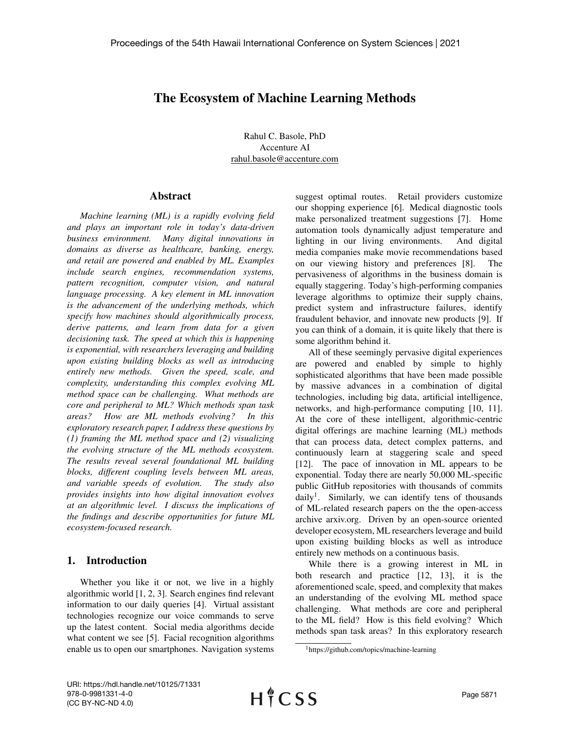# The Ecosystem of Machine Learning Methods

Rahul C. Basole, PhD Accenture AI rahul.basole@accenture.com

#### Abstract

*Machine learning (ML) is a rapidly evolving field and plays an important role in today's data-driven business environment. Many digital innovations in domains as diverse as healthcare, banking, energy, and retail are powered and enabled by ML. Examples include search engines, recommendation systems, pattern recognition, computer vision, and natural language processing. A key element in ML innovation is the advancement of the underlying methods, which specify how machines should algorithmically process, derive patterns, and learn from data for a given decisioning task. The speed at which this is happening is exponential, with researchers leveraging and building upon existing building blocks as well as introducing entirely new methods. Given the speed, scale, and complexity, understanding this complex evolving ML method space can be challenging. What methods are core and peripheral to ML? Which methods span task areas? How are ML methods evolving? In this exploratory research paper, I address these questions by (1) framing the ML method space and (2) visualizing the evolving structure of the ML methods ecosystem. The results reveal several foundational ML building blocks, different coupling levels between ML areas, and variable speeds of evolution. The study also provides insights into how digital innovation evolves at an algorithmic level. I discuss the implications of the findings and describe opportunities for future ML ecosystem-focused research.*

# 1. Introduction

Whether you like it or not, we live in a highly algorithmic world [1, 2, 3]. Search engines find relevant information to our daily queries [4]. Virtual assistant technologies recognize our voice commands to serve up the latest content. Social media algorithms decide what content we see [5]. Facial recognition algorithms enable us to open our smartphones. Navigation systems

suggest optimal routes. Retail providers customize our shopping experience [6]. Medical diagnostic tools make personalized treatment suggestions [7]. Home automation tools dynamically adjust temperature and lighting in our living environments. And digital media companies make movie recommendations based on our viewing history and preferences [8]. The pervasiveness of algorithms in the business domain is equally staggering. Today's high-performing companies leverage algorithms to optimize their supply chains, predict system and infrastructure failures, identify fraudulent behavior, and innovate new products [9]. If you can think of a domain, it is quite likely that there is some algorithm behind it.

All of these seemingly pervasive digital experiences are powered and enabled by simple to highly sophisticated algorithms that have been made possible by massive advances in a combination of digital technologies, including big data, artificial intelligence, networks, and high-performance computing [10, 11]. At the core of these intelligent, algorithmic-centric digital offerings are machine learning (ML) methods that can process data, detect complex patterns, and continuously learn at staggering scale and speed [12]. The pace of innovation in ML appears to be exponential. Today there are nearly 50,000 ML-specific public GitHub repositories with thousands of commits daily<sup>1</sup>. Similarly, we can identify tens of thousands of ML-related research papers on the the open-access archive arxiv.org. Driven by an open-source oriented developer ecosystem, ML researchers leverage and build upon existing building blocks as well as introduce entirely new methods on a continuous basis.

While there is a growing interest in ML in both research and practice [12, 13], it is the aforementioned scale, speed, and complexity that makes an understanding of the evolving ML method space challenging. What methods are core and peripheral to the ML field? How is this field evolving? Which methods span task areas? In this exploratory research

<sup>1</sup>https://github.com/topics/machine-learning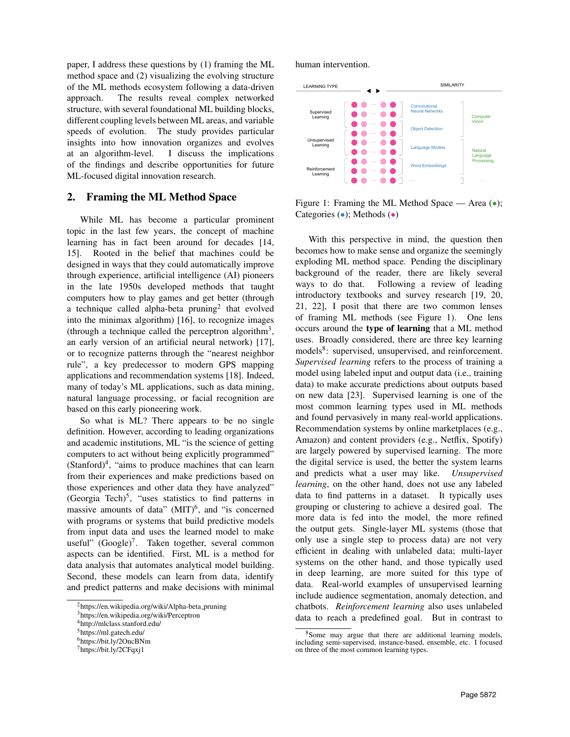paper, I address these questions by (1) framing the ML method space and (2) visualizing the evolving structure of the ML methods ecosystem following a data-driven approach. The results reveal complex networked structure, with several foundational ML building blocks, different coupling levels between ML areas, and variable speeds of evolution. The study provides particular insights into how innovation organizes and evolves at an algorithm-level. I discuss the implications of the findings and describe opportunities for future ML-focused digital innovation research.

# 2. Framing the ML Method Space

While ML has become a particular prominent topic in the last few years, the concept of machine learning has in fact been around for decades [14, 15]. Rooted in the belief that machines could be designed in ways that they could automatically improve through experience, artificial intelligence (AI) pioneers in the late 1950s developed methods that taught computers how to play games and get better (through a technique called alpha-beta pruning<sup>2</sup> that evolved into the minimax algorithm) [16], to recognize images (through a technique called the perceptron algorithm<sup>3</sup>, an early version of an artificial neural network) [17], or to recognize patterns through the "nearest neighbor rule", a key predecessor to modern GPS mapping applications and recommendation systems [18]. Indeed, many of today's ML applications, such as data mining, natural language processing, or facial recognition are based on this early pioneering work.

So what is ML? There appears to be no single definition. However, according to leading organizations and academic institutions, ML "is the science of getting computers to act without being explicitly programmed"  $(Stanford)^4$ , "aims to produce machines that can learn from their experiences and make predictions based on those experiences and other data they have analyzed" (Georgia Tech)<sup>5</sup>, "uses statistics to find patterns in massive amounts of data"  $(MIT)^6$ , and "is concerned with programs or systems that build predictive models from input data and uses the learned model to make useful" (Google)<sup>7</sup>. Taken together, several common aspects can be identified. First, ML is a method for data analysis that automates analytical model building. Second, these models can learn from data, identify and predict patterns and make decisions with minimal

#### human intervention.



Figure 1: Framing the ML Method Space — Area  $(\bullet)$ ; Categories (•); Methods (•)

With this perspective in mind, the question then becomes how to make sense and organize the seemingly exploding ML method space. Pending the disciplinary background of the reader, there are likely several ways to do that. Following a review of leading introductory textbooks and survey research [19, 20, 21, 22], I posit that there are two common lenses of framing ML methods (see Figure 1). One lens occurs around the type of learning that a ML method uses. Broadly considered, there are three key learning models<sup>8</sup>: supervised, unsupervised, and reinforcement. *Supervised learning* refers to the process of training a model using labeled input and output data (i.e., training data) to make accurate predictions about outputs based on new data [23]. Supervised learning is one of the most common learning types used in ML methods and found pervasively in many real-world applications. Recommendation systems by online marketplaces (e.g., Amazon) and content providers (e.g., Netflix, Spotify) are largely powered by supervised learning. The more the digital service is used, the better the system learns and predicts what a user may like. *Unsupervised learning*, on the other hand, does not use any labeled data to find patterns in a dataset. It typically uses grouping or clustering to achieve a desired goal. The more data is fed into the model, the more refined the output gets. Single-layer ML systems (those that only use a single step to process data) are not very efficient in dealing with unlabeled data; multi-layer systems on the other hand, and those typically used in deep learning, are more suited for this type of data. Real-world examples of unsupervised learning include audience segmentation, anomaly detection, and chatbots. *Reinforcement learning* also uses unlabeled data to reach a predefined goal. But in contrast to

<sup>&</sup>lt;sup>2</sup>https://en.wikipedia.org/wiki/Alpha-beta\_pruning

<sup>3</sup>https://en.wikipedia.org/wiki/Perceptron

<sup>4</sup>http://mlclass.stanford.edu/

<sup>5</sup>https://ml.gatech.edu/

<sup>6</sup>https://bit.ly/2OncBNm

<sup>7</sup>https://bit.ly/2CFqxj1

<sup>&</sup>lt;sup>8</sup>Some may argue that there are additional learning models, including semi-supervised, instance-based, ensemble, etc. I focused on three of the most common learning types.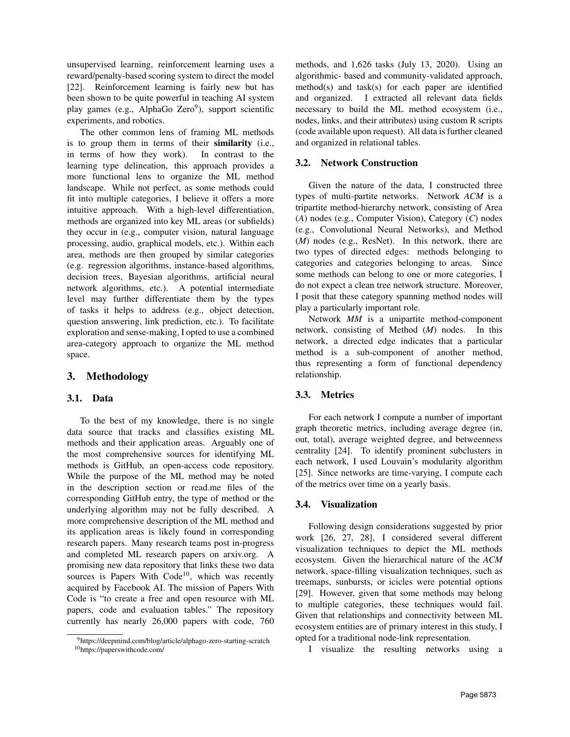unsupervised learning, reinforcement learning uses a reward/penalty-based scoring system to direct the model [22]. Reinforcement learning is fairly new but has been shown to be quite powerful in teaching AI system play games (e.g., AlphaGo Zero<sup>9</sup>), support scientific experiments, and robotics.

The other common lens of framing ML methods is to group them in terms of their similarity (i.e., in terms of how they work). In contrast to the learning type delineation, this approach provides a more functional lens to organize the ML method landscape. While not perfect, as some methods could fit into multiple categories, I believe it offers a more intuitive approach. With a high-level differentiation, methods are organized into key ML areas (or subfields) they occur in (e.g., computer vision, natural language processing, audio, graphical models, etc.). Within each area, methods are then grouped by similar categories (e.g. regression algorithms, instance-based algorithms, decision trees, Bayesian algorithms, artificial neural network algorithms, etc.). A potential intermediate level may further differentiate them by the types of tasks it helps to address (e.g., object detection, question answering, link prediction, etc.). To facilitate exploration and sense-making, I opted to use a combined area-category approach to organize the ML method space.

# 3. Methodology

### 3.1. Data

To the best of my knowledge, there is no single data source that tracks and classifies existing ML methods and their application areas. Arguably one of the most comprehensive sources for identifying ML methods is GitHub, an open-access code repository. While the purpose of the ML method may be noted in the description section or read.me files of the corresponding GitHub entry, the type of method or the underlying algorithm may not be fully described. A more comprehensive description of the ML method and its application areas is likely found in corresponding research papers. Many research teams post in-progress and completed ML research papers on arxiv.org. A promising new data repository that links these two data sources is Papers With  $Code<sup>10</sup>$ , which was recently acquired by Facebook AI. The mission of Papers With Code is "to create a free and open resource with ML papers, code and evaluation tables." The repository currently has nearly 26,000 papers with code, 760

methods, and 1,626 tasks (July 13, 2020). Using an algorithmic- based and community-validated approach, method(s) and task(s) for each paper are identified and organized. I extracted all relevant data fields necessary to build the ML method ecosystem (i.e., nodes, links, and their attributes) using custom R scripts (code available upon request). All data is further cleaned and organized in relational tables.

## 3.2. Network Construction

Given the nature of the data, I constructed three types of multi-partite networks. Network *ACM* is a tripartite method-hierarchy network, consisting of Area (*A*) nodes (e.g., Computer Vision), Category (*C*) nodes (e.g., Convolutional Neural Networks), and Method (*M*) nodes (e.g., ResNet). In this network, there are two types of directed edges: methods belonging to categories and categories belonging to areas. Since some methods can belong to one or more categories, I do not expect a clean tree network structure. Moreover, I posit that these category spanning method nodes will play a particularly important role.

Network *MM* is a unipartite method-component network, consisting of Method (*M*) nodes. In this network, a directed edge indicates that a particular method is a sub-component of another method, thus representing a form of functional dependency relationship.

### 3.3. Metrics

For each network I compute a number of important graph theoretic metrics, including average degree (in, out, total), average weighted degree, and betweenness centrality [24]. To identify prominent subclusters in each network, I used Louvain's modularity algorithm [25]. Since networks are time-varying, I compute each of the metrics over time on a yearly basis.

### 3.4. Visualization

Following design considerations suggested by prior work [26, 27, 28], I considered several different visualization techniques to depict the ML methods ecosystem. Given the hierarchical nature of the *ACM* network, space-filling visualization techniques, such as treemaps, sunbursts, or icicles were potential options [29]. However, given that some methods may belong to multiple categories, these techniques would fail. Given that relationships and connectivity between ML ecosystem entities are of primary interest in this study, I opted for a traditional node-link representation.

I visualize the resulting networks using a

<sup>9</sup>https://deepmind.com/blog/article/alphago-zero-starting-scratch <sup>10</sup>https://paperswithcode.com/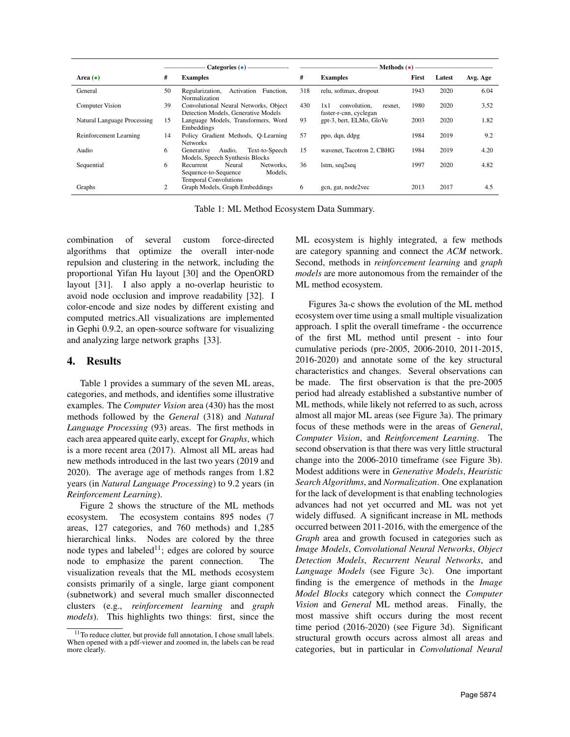|                               | Categories $(\bullet)$ . |                                                                                                     | Methods $(\bullet)$ – |                                                          |       |        |          |
|-------------------------------|--------------------------|-----------------------------------------------------------------------------------------------------|-----------------------|----------------------------------------------------------|-------|--------|----------|
| Area $\left( \bullet \right)$ | #                        | <b>Examples</b>                                                                                     | #                     | <b>Examples</b>                                          | First | Latest | Avg. Age |
| General                       | 50                       | Regularization,<br>Activation<br>Function,<br>Normalization                                         | 318                   | relu, softmax, dropout                                   | 1943  | 2020   | 6.04     |
| <b>Computer Vision</b>        | 39                       | Convolutional Neural Networks, Object<br>Detection Models, Generative Models                        | 430                   | convolution.<br>1x1<br>resnet.<br>faster-r-cnn, cyclegan | 1980  | 2020   | 3.52     |
| Natural Language Processing   | 15                       | Language Models, Transformers, Word<br>Embeddings                                                   | 93                    | gpt-3, bert, ELMo, GloVe                                 | 2003  | 2020   | 1.82     |
| Reinforcement Learning        | 14                       | Policy Gradient Methods, O-Learning<br><b>Networks</b>                                              | 57                    | ppo, dqn, ddpg                                           | 1984  | 2019   | 9.2      |
| Audio                         | 6                        | Generative<br>Text-to-Speech<br>Audio.<br>Models, Speech Synthesis Blocks                           | 15                    | wavenet, Tacotron 2, CBHG                                | 1984  | 2019   | 4.20     |
| Sequential                    | 6                        | Neural<br>Networks.<br>Recurrent<br>Models.<br>Sequence-to-Sequence<br><b>Temporal Convolutions</b> | 36                    | lstm, seq2seq                                            | 1997  | 2020   | 4.82     |
| Graphs                        | 2                        | Graph Models, Graph Embeddings                                                                      | 6                     | gcn, gat, node2vec                                       | 2013  | 2017   | 4.5      |

Table 1: ML Method Ecosystem Data Summary.

combination of several custom force-directed algorithms that optimize the overall inter-node repulsion and clustering in the network, including the proportional Yifan Hu layout [30] and the OpenORD layout [31]. I also apply a no-overlap heuristic to avoid node occlusion and improve readability [32]. I color-encode and size nodes by different existing and computed metrics.All visualizations are implemented in Gephi 0.9.2, an open-source software for visualizing and analyzing large network graphs [33].

## 4. Results

Table 1 provides a summary of the seven ML areas, categories, and methods, and identifies some illustrative examples. The *Computer Vision* area (430) has the most methods followed by the *General* (318) and *Natural Language Processing* (93) areas. The first methods in each area appeared quite early, except for *Graphs*, which is a more recent area (2017). Almost all ML areas had new methods introduced in the last two years (2019 and 2020). The average age of methods ranges from 1.82 years (in *Natural Language Processing*) to 9.2 years (in *Reinforcement Learning*).

Figure 2 shows the structure of the ML methods ecosystem. The ecosystem contains 895 nodes (7 areas, 127 categories, and 760 methods) and 1,285 hierarchical links. Nodes are colored by the three node types and labeled $11$ ; edges are colored by source node to emphasize the parent connection. The visualization reveals that the ML methods ecosystem consists primarily of a single, large giant component (subnetwork) and several much smaller disconnected clusters (e.g., *reinforcement learning* and *graph models*). This highlights two things: first, since the ML ecosystem is highly integrated, a few methods are category spanning and connect the *ACM* network. Second, methods in *reinforcement learning* and *graph models* are more autonomous from the remainder of the ML method ecosystem.

Figures 3a-c shows the evolution of the ML method ecosystem over time using a small multiple visualization approach. I split the overall timeframe - the occurrence of the first ML method until present - into four cumulative periods (pre-2005, 2006-2010, 2011-2015, 2016-2020) and annotate some of the key structural characteristics and changes. Several observations can be made. The first observation is that the pre-2005 period had already established a substantive number of ML methods, while likely not referred to as such, across almost all major ML areas (see Figure 3a). The primary focus of these methods were in the areas of *General*, *Computer Vision*, and *Reinforcement Learning*. The second observation is that there was very little structural change into the 2006-2010 timeframe (see Figure 3b). Modest additions were in *Generative Models*, *Heuristic Search Algorithms*, and *Normalization*. One explanation for the lack of development is that enabling technologies advances had not yet occurred and ML was not yet widely diffused. A significant increase in ML methods occurred between 2011-2016, with the emergence of the *Graph* area and growth focused in categories such as *Image Models*, *Convolutional Neural Networks*, *Object Detection Models*, *Recurrent Neural Networks*, and *Language Models* (see Figure 3c). One important finding is the emergence of methods in the *Image Model Blocks* category which connect the *Computer Vision* and *General* ML method areas. Finally, the most massive shift occurs during the most recent time period (2016-2020) (see Figure 3d). Significant structural growth occurs across almost all areas and categories, but in particular in *Convolutional Neural*

<sup>&</sup>lt;sup>11</sup>To reduce clutter, but provide full annotation, I chose small labels. When opened with a pdf-viewer and zoomed in, the labels can be read more clearly.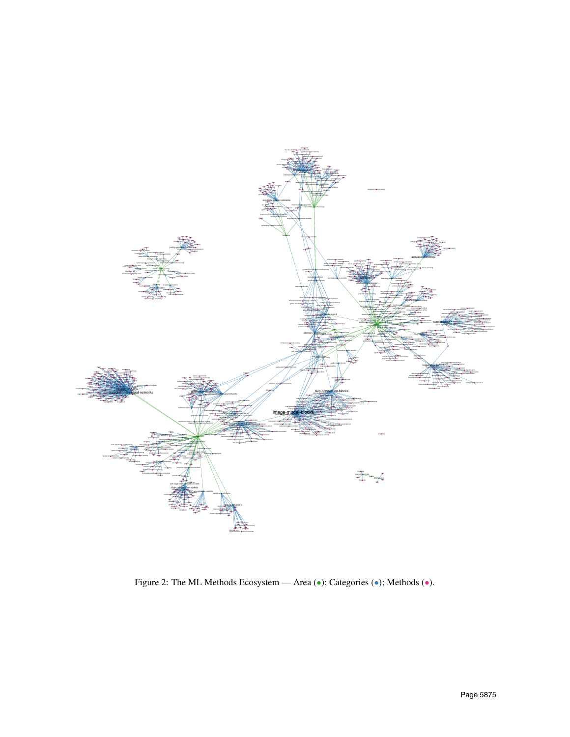

Figure 2: The ML Methods Ecosystem — Area (•); Categories (•); Methods (•).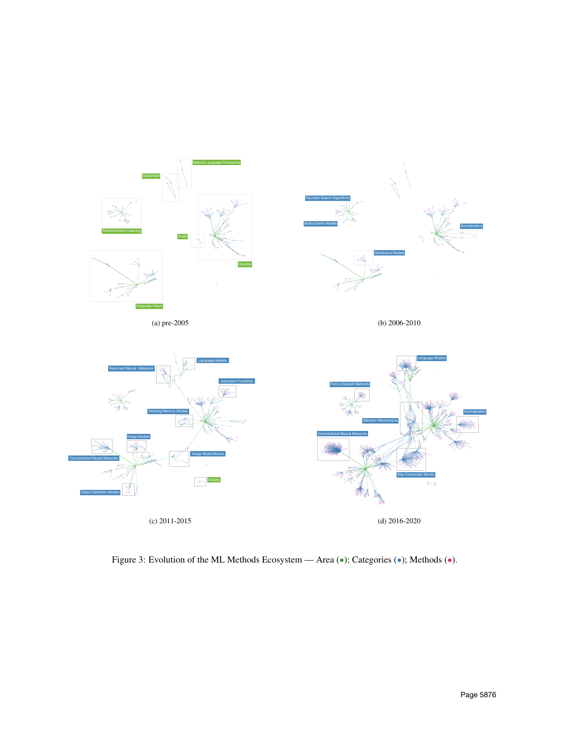

Figure 3: Evolution of the ML Methods Ecosystem — Area (•); Categories (•); Methods (•).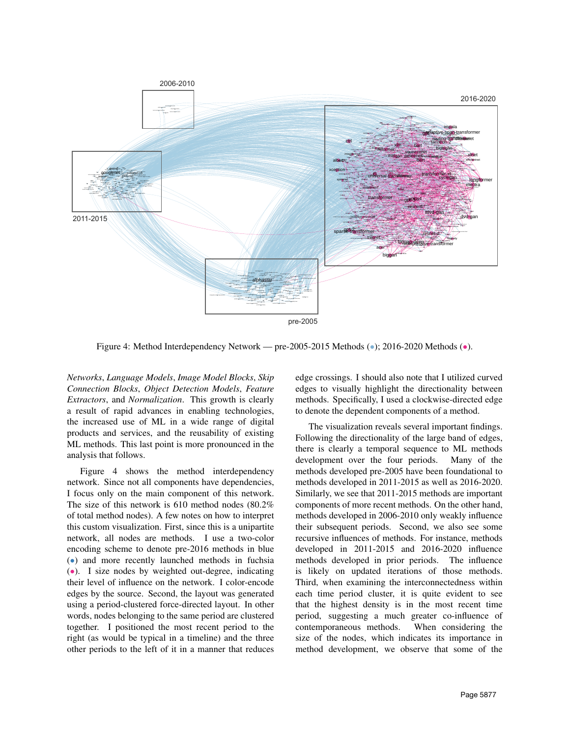

Figure 4: Method Interdependency Network — pre-2005-2015 Methods (•); 2016-2020 Methods (•).

*Networks*, *Language Models*, *Image Model Blocks*, *Skip Connection Blocks*, *Object Detection Models*, *Feature Extractors*, and *Normalization*. This growth is clearly a result of rapid advances in enabling technologies, the increased use of ML in a wide range of digital products and services, and the reusability of existing ML methods. This last point is more pronounced in the analysis that follows.

Figure 4 shows the method interdependency network. Since not all components have dependencies, I focus only on the main component of this network. The size of this network is 610 method nodes (80.2% of total method nodes). A few notes on how to interpret this custom visualization. First, since this is a unipartite network, all nodes are methods. I use a two-color encoding scheme to denote pre-2016 methods in blue (•) and more recently launched methods in fuchsia (•). I size nodes by weighted out-degree, indicating their level of influence on the network. I color-encode edges by the source. Second, the layout was generated using a period-clustered force-directed layout. In other words, nodes belonging to the same period are clustered together. I positioned the most recent period to the right (as would be typical in a timeline) and the three other periods to the left of it in a manner that reduces edge crossings. I should also note that I utilized curved edges to visually highlight the directionality between methods. Specifically, I used a clockwise-directed edge to denote the dependent components of a method.

The visualization reveals several important findings. Following the directionality of the large band of edges, there is clearly a temporal sequence to ML methods development over the four periods. Many of the methods developed pre-2005 have been foundational to methods developed in 2011-2015 as well as 2016-2020. Similarly, we see that 2011-2015 methods are important components of more recent methods. On the other hand, methods developed in 2006-2010 only weakly influence their subsequent periods. Second, we also see some recursive influences of methods. For instance, methods developed in 2011-2015 and 2016-2020 influence methods developed in prior periods. The influence is likely on updated iterations of those methods. Third, when examining the interconnectedness within each time period cluster, it is quite evident to see that the highest density is in the most recent time period, suggesting a much greater co-influence of contemporaneous methods. When considering the size of the nodes, which indicates its importance in method development, we observe that some of the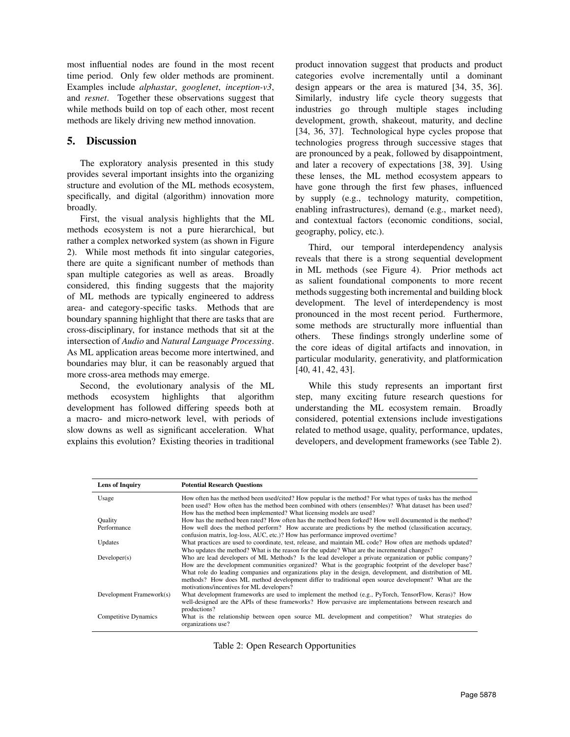most influential nodes are found in the most recent time period. Only few older methods are prominent. Examples include *alphastar*, *googlenet*, *inception-v3*, and *resnet*. Together these observations suggest that while methods build on top of each other, most recent methods are likely driving new method innovation.

# 5. Discussion

The exploratory analysis presented in this study provides several important insights into the organizing structure and evolution of the ML methods ecosystem, specifically, and digital (algorithm) innovation more broadly.

First, the visual analysis highlights that the ML methods ecosystem is not a pure hierarchical, but rather a complex networked system (as shown in Figure 2). While most methods fit into singular categories, there are quite a significant number of methods than span multiple categories as well as areas. Broadly considered, this finding suggests that the majority of ML methods are typically engineered to address area- and category-specific tasks. Methods that are boundary spanning highlight that there are tasks that are cross-disciplinary, for instance methods that sit at the intersection of *Audio* and *Natural Language Processing*. As ML application areas become more intertwined, and boundaries may blur, it can be reasonably argued that more cross-area methods may emerge.

Second, the evolutionary analysis of the ML methods ecosystem highlights that algorithm development has followed differing speeds both at a macro- and micro-network level, with periods of slow downs as well as significant acceleration. What explains this evolution? Existing theories in traditional

product innovation suggest that products and product categories evolve incrementally until a dominant design appears or the area is matured [34, 35, 36]. Similarly, industry life cycle theory suggests that industries go through multiple stages including development, growth, shakeout, maturity, and decline [34, 36, 37]. Technological hype cycles propose that technologies progress through successive stages that are pronounced by a peak, followed by disappointment, and later a recovery of expectations [38, 39]. Using these lenses, the ML method ecosystem appears to have gone through the first few phases, influenced by supply (e.g., technology maturity, competition, enabling infrastructures), demand (e.g., market need), and contextual factors (economic conditions, social, geography, policy, etc.).

Third, our temporal interdependency analysis reveals that there is a strong sequential development in ML methods (see Figure 4). Prior methods act as salient foundational components to more recent methods suggesting both incremental and building block development. The level of interdependency is most pronounced in the most recent period. Furthermore, some methods are structurally more influential than others. These findings strongly underline some of the core ideas of digital artifacts and innovation, in particular modularity, generativity, and platformication [40, 41, 42, 43].

While this study represents an important first step, many exciting future research questions for understanding the ML ecosystem remain. Broadly considered, potential extensions include investigations related to method usage, quality, performance, updates, developers, and development frameworks (see Table 2).

| <b>Lens of Inquiry</b>      | <b>Potential Research Questions</b>                                                                                                                                                                                                                                                                                                                                                                                                                                              |  |
|-----------------------------|----------------------------------------------------------------------------------------------------------------------------------------------------------------------------------------------------------------------------------------------------------------------------------------------------------------------------------------------------------------------------------------------------------------------------------------------------------------------------------|--|
| Usage                       | How often has the method been used/cited? How popular is the method? For what types of tasks has the method<br>been used? How often has the method been combined with others (ensembles)? What dataset has been used?<br>How has the method been implemented? What licensing models are used?                                                                                                                                                                                    |  |
| <b>Quality</b>              | How has the method been rated? How often has the method been forked? How well documented is the method?                                                                                                                                                                                                                                                                                                                                                                          |  |
| Performance                 | How well does the method perform? How accurate are predictions by the method (classification accuracy,<br>confusion matrix, log-loss, AUC, etc.)? How has performance improved overtime?                                                                                                                                                                                                                                                                                         |  |
| Updates                     | What practices are used to coordinate, test, release, and maintain ML code? How often are methods updated?<br>Who updates the method? What is the reason for the update? What are the incremental changes?                                                                                                                                                                                                                                                                       |  |
| Developer(s)                | Who are lead developers of ML Methods? Is the lead developer a private organization or public company?<br>How are the development communities organized? What is the geographic footprint of the developer base?<br>What role do leading companies and organizations play in the design, development, and distribution of ML<br>methods? How does ML method development differ to traditional open source development? What are the<br>motivations/incentives for ML developers? |  |
| Development Framework(s)    | What development frameworks are used to implement the method (e.g., PyTorch, TensorFlow, Keras)? How<br>well-designed are the APIs of these frameworks? How pervasive are implementations between research and<br>productions?                                                                                                                                                                                                                                                   |  |
| <b>Competitive Dynamics</b> | What is the relationship between open source ML development and competition? What strategies do<br>organizations use?                                                                                                                                                                                                                                                                                                                                                            |  |

Table 2: Open Research Opportunities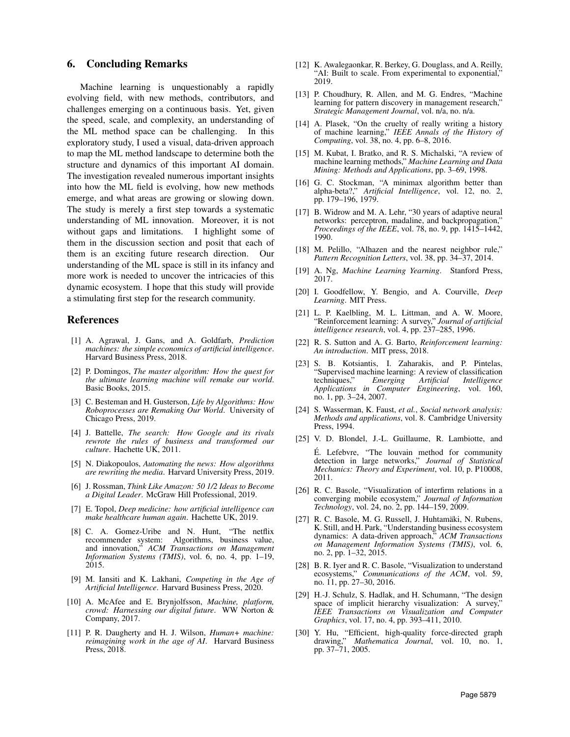### 6. Concluding Remarks

Machine learning is unquestionably a rapidly evolving field, with new methods, contributors, and challenges emerging on a continuous basis. Yet, given the speed, scale, and complexity, an understanding of the ML method space can be challenging. In this exploratory study, I used a visual, data-driven approach to map the ML method landscape to determine both the structure and dynamics of this important AI domain. The investigation revealed numerous important insights into how the ML field is evolving, how new methods emerge, and what areas are growing or slowing down. The study is merely a first step towards a systematic understanding of ML innovation. Moreover, it is not without gaps and limitations. I highlight some of them in the discussion section and posit that each of them is an exciting future research direction. Our understanding of the ML space is still in its infancy and more work is needed to uncover the intricacies of this dynamic ecosystem. I hope that this study will provide a stimulating first step for the research community.

#### References

- [1] A. Agrawal, J. Gans, and A. Goldfarb, *Prediction machines: the simple economics of artificial intelligence*. Harvard Business Press, 2018.
- [2] P. Domingos, *The master algorithm: How the quest for the ultimate learning machine will remake our world*. Basic Books, 2015.
- [3] C. Besteman and H. Gusterson, *Life by Algorithms: How Roboprocesses are Remaking Our World*. University of Chicago Press, 2019.
- [4] J. Battelle, *The search: How Google and its rivals rewrote the rules of business and transformed our culture*. Hachette UK, 2011.
- [5] N. Diakopoulos, *Automating the news: How algorithms are rewriting the media*. Harvard University Press, 2019.
- [6] J. Rossman, *Think Like Amazon: 50 1/2 Ideas to Become a Digital Leader*. McGraw Hill Professional, 2019.
- [7] E. Topol, *Deep medicine: how artificial intelligence can make healthcare human again*. Hachette UK, 2019.
- [8] C. A. Gomez-Uribe and N. Hunt, "The netflix recommender system: Algorithms, business value, and innovation," *ACM Transactions on Management Information Systems (TMIS)*, vol. 6, no. 4, pp. 1–19, 2015.
- [9] M. Iansiti and K. Lakhani, *Competing in the Age of Artificial Intelligence*. Harvard Business Press, 2020.
- [10] A. McAfee and E. Brynjolfsson, *Machine, platform, crowd: Harnessing our digital future*. WW Norton & Company, 2017.
- [11] P. R. Daugherty and H. J. Wilson, *Human+ machine: reimagining work in the age of AI*. Harvard Business Press, 2018.
- [12] K. Awalegaonkar, R. Berkey, G. Douglass, and A. Reilly, "AI: Built to scale. From experimental to exponential," 2019.
- [13] P. Choudhury, R. Allen, and M. G. Endres, "Machine learning for pattern discovery in management research," *Strategic Management Journal*, vol. n/a, no. n/a.
- [14] A. Plasek, "On the cruelty of really writing a history of machine learning," *IEEE Annals of the History of Computing*, vol. 38, no. 4, pp. 6–8, 2016.
- [15] M. Kubat, I. Bratko, and R. S. Michalski, "A review of machine learning methods," *Machine Learning and Data Mining: Methods and Applications*, pp. 3–69, 1998.
- [16] G. C. Stockman, "A minimax algorithm better than alpha-beta?," *Artificial Intelligence*, vol. 12, no. 2, pp. 179–196, 1979.
- [17] B. Widrow and M. A. Lehr, "30 years of adaptive neural networks: perceptron, madaline, and backpropagation, *Proceedings of the IEEE*, vol. 78, no. 9, pp. 1415–1442, 1990.
- [18] M. Pelillo, "Alhazen and the nearest neighbor rule," *Pattern Recognition Letters*, vol. 38, pp. 34–37, 2014.
- [19] A. Ng, *Machine Learning Yearning*. Stanford Press, 2017.
- [20] I. Goodfellow, Y. Bengio, and A. Courville, *Deep Learning*. MIT Press.
- [21] L. P. Kaelbling, M. L. Littman, and A. W. Moore, "Reinforcement learning: A survey," *Journal of artificial intelligence research*, vol. 4, pp. 237–285, 1996.
- [22] R. S. Sutton and A. G. Barto, *Reinforcement learning: An introduction*. MIT press, 2018.
- [23] S. B. Kotsiantis, I. Zaharakis, and P. Pintelas, "Supervised machine learning: A review of classification<br>techniques," Emerging Artificial Intelligence techniques," *Emerging Artificial Intelligence Applications in Computer Engineering*, vol. 160, no. 1, pp. 3–24, 2007.
- [24] S. Wasserman, K. Faust, *et al.*, *Social network analysis: Methods and applications*, vol. 8. Cambridge University Press, 1994.
- [25] V. D. Blondel, J.-L. Guillaume, R. Lambiotte, and E. Lefebvre, "The louvain method for community ´ detection in large networks," *Journal of Statistical Mechanics: Theory and Experiment*, vol. 10, p. P10008, 2011.
- [26] R. C. Basole, "Visualization of interfirm relations in a converging mobile ecosystem," *Journal of Information Technology*, vol. 24, no. 2, pp. 144–159, 2009.
- [27] R. C. Basole, M. G. Russell, J. Huhtamäki, N. Rubens, K. Still, and H. Park, "Understanding business ecosystem dynamics: A data-driven approach," *ACM Transactions on Management Information Systems (TMIS)*, vol. 6, no. 2, pp. 1–32, 2015.
- [28] B. R. Iyer and R. C. Basole, "Visualization to understand ecosystems," *Communications of the ACM*, vol. 59, no. 11, pp. 27–30, 2016.
- [29] H.-J. Schulz, S. Hadlak, and H. Schumann, "The design space of implicit hierarchy visualization: A survey, *IEEE Transactions on Visualization and Computer Graphics*, vol. 17, no. 4, pp. 393–411, 2010.
- [30] Y. Hu, "Efficient, high-quality force-directed graph drawing," *Mathematica Journal*, vol. 10, no. 1, pp. 37–71, 2005.